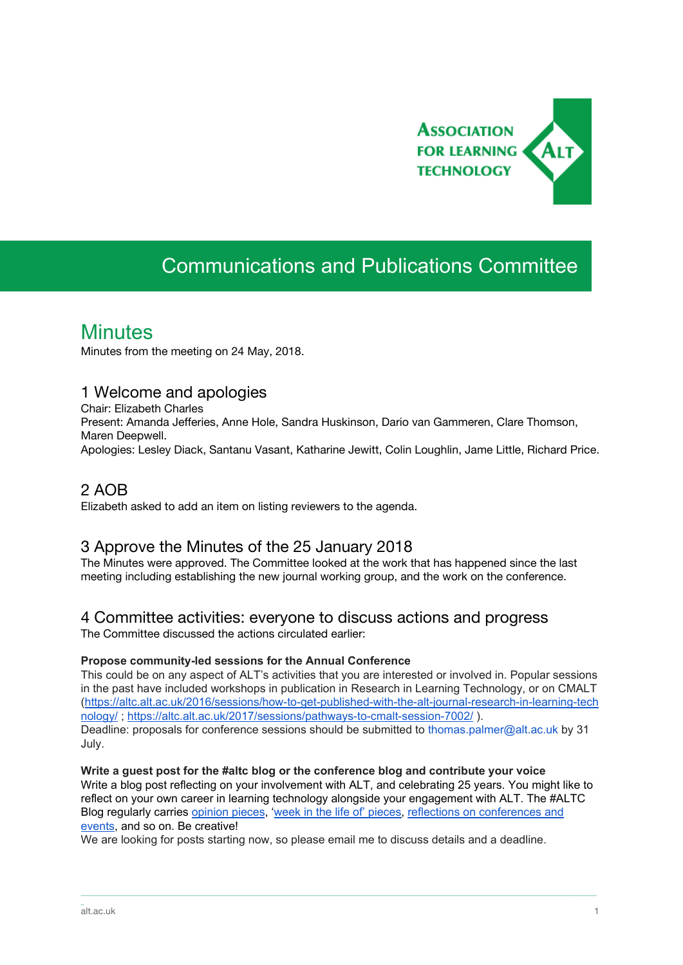

# Communications and Publications Committee

## **Minutes**

Minutes from the meeting on 24 May, 2018.

#### 1 Welcome and apologies

Chair: Elizabeth Charles Present: Amanda Jefferies, Anne Hole, Sandra Huskinson, Dario van Gammeren, Clare Thomson, Maren Deepwell. Apologies: Lesley Diack, Santanu Vasant, Katharine Jewitt, Colin Loughlin, Jame Little, Richard Price.

### 2 AOB

Elizabeth asked to add an item on listing reviewers to the agenda.

### 3 Approve the Minutes of the 25 January 2018

The Minutes were approved. The Committee looked at the work that has happened since the last meeting including establishing the new journal working group, and the work on the conference.

### 4 Committee activities: everyone to discuss actions and progress

The Committee discussed the actions circulated earlier:

#### **Propose community-led sessions for the Annual Conference**

This could be on any aspect of ALT's activities that you are interested or involved in. Popular sessions in the past have included workshops in publication in Research in Learning Technology, or on CMALT ([https://altc.alt.ac.uk/2016/sessions/how-to-get-published-with-the-alt-journal-research-in-learning-tech](https://altc.alt.ac.uk/2016/sessions/how-to-get-published-with-the-alt-journal-research-in-learning-technology/) [nology/](https://altc.alt.ac.uk/2016/sessions/how-to-get-published-with-the-alt-journal-research-in-learning-technology/); <https://altc.alt.ac.uk/2017/sessions/pathways-to-cmalt-session-7002/>). Deadline: proposals for conference sessions should be submitted to thomas.palmer@alt.ac.uk by 31 July.

**Write a guest post for the #altc blog or the conference blog and contribute your voice** Write a blog post reflecting on your involvement with ALT, and celebrating 25 years. You might like to reflect on your own career in learning technology alongside your engagement with ALT. The #ALTC Blog regularly carrie[s](https://altc.alt.ac.uk/blog/category/in-my-opinion/) [opinion](https://altc.alt.ac.uk/blog/category/in-my-opinion/) [pieces,](https://altc.alt.ac.uk/blog/category/a-week-in-the-life-of/) 'week in the life of pieces, reflections on [conferences](https://altc.alt.ac.uk/blog/category/reviews/conference-reviews/) and [events](https://altc.alt.ac.uk/blog/category/reviews/conference-reviews/), and so on. Be creative!

\_\_\_\_\_\_\_\_\_\_\_\_\_\_\_\_\_\_\_\_\_\_\_\_\_\_\_\_\_\_\_\_\_\_\_\_\_\_\_\_\_\_\_\_\_\_\_\_\_\_\_\_\_\_\_\_\_\_\_\_\_\_\_\_\_\_\_\_\_\_\_\_\_\_\_\_\_\_\_\_\_\_\_\_\_\_\_\_\_\_\_\_\_\_\_\_\_\_\_\_\_\_\_\_\_\_\_\_\_\_\_\_\_\_\_\_\_\_\_\_\_\_\_\_\_\_\_\_\_\_\_\_\_\_\_\_\_\_\_\_\_\_\_\_\_\_\_\_\_\_

We are looking for posts starting now, so please email me to discuss details and a deadline.

\_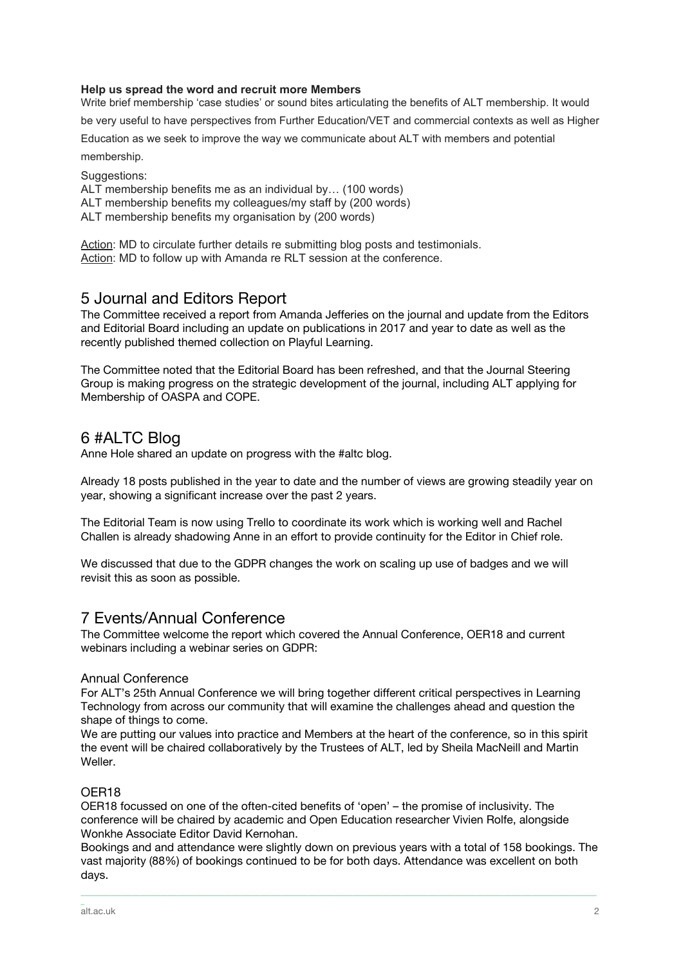#### **Help us spread the word and recruit more Members**

Write brief membership 'case studies' or sound bites articulating the benefits of ALT membership. It would

be very useful to have perspectives from Further Education/VET and commercial contexts as well as Higher

Education as we seek to improve the way we communicate about ALT with members and potential membership.

Suggestions:

ALT membership benefits me as an individual by… (100 words)

ALT membership benefits my colleagues/my staff by (200 words)

ALT membership benefits my organisation by (200 words)

Action: MD to circulate further details re submitting blog posts and testimonials. Action: MD to follow up with Amanda re RLT session at the conference.

#### 5 Journal and Editors Report

The Committee received a report from Amanda Jefferies on the journal and update from the Editors and Editorial Board including an update on publications in 2017 and year to date as well as the recently published themed collection on Playful Learning.

The Committee noted that the Editorial Board has been refreshed, and that the Journal Steering Group is making progress on the strategic development of the journal, including ALT applying for Membership of OASPA and COPE.

### 6 #ALTC Blog

Anne Hole shared an update on progress with the #altc blog.

Already 18 posts published in the year to date and the number of views are growing steadily year on year, showing a significant increase over the past 2 years.

The Editorial Team is now using Trello to coordinate its work which is working well and Rachel Challen is already shadowing Anne in an effort to provide continuity for the Editor in Chief role.

We discussed that due to the GDPR changes the work on scaling up use of badges and we will revisit this as soon as possible.

#### 7 Events/Annual Conference

The Committee welcome the report which covered the Annual Conference, OER18 and current webinars including a webinar series on GDPR:

#### Annual Conference

For ALT's 25th Annual Conference we will bring together different critical perspectives in Learning Technology from across our community that will examine the challenges ahead and question the shape of things to come.

We are putting our values into practice and Members at the heart of the conference, so in this spirit the event will be chaired collaboratively by the Trustees of ALT, led by Sheila MacNeill and Martin Weller.

#### OER18

OER18 focussed on one of the often-cited benefits of 'open' – the promise of inclusivity. The conference will be chaired by academic and Open Education researcher Vivien Rolfe, alongside Wonkhe Associate Editor David Kernohan.

Bookings and and attendance were slightly down on previous years with a total of 158 bookings. The vast majority (88%) of bookings continued to be for both days. Attendance was excellent on both days.

\_\_\_\_\_\_\_\_\_\_\_\_\_\_\_\_\_\_\_\_\_\_\_\_\_\_\_\_\_\_\_\_\_\_\_\_\_\_\_\_\_\_\_\_\_\_\_\_\_\_\_\_\_\_\_\_\_\_\_\_\_\_\_\_\_\_\_\_\_\_\_\_\_\_\_\_\_\_\_\_\_\_\_\_\_\_\_\_\_\_\_\_\_\_\_\_\_\_\_\_\_\_\_\_\_\_\_\_\_\_\_\_\_\_\_\_\_\_\_\_\_\_\_\_\_\_\_\_\_\_\_\_\_\_\_\_\_\_\_\_\_\_\_\_\_\_\_\_\_\_

\_